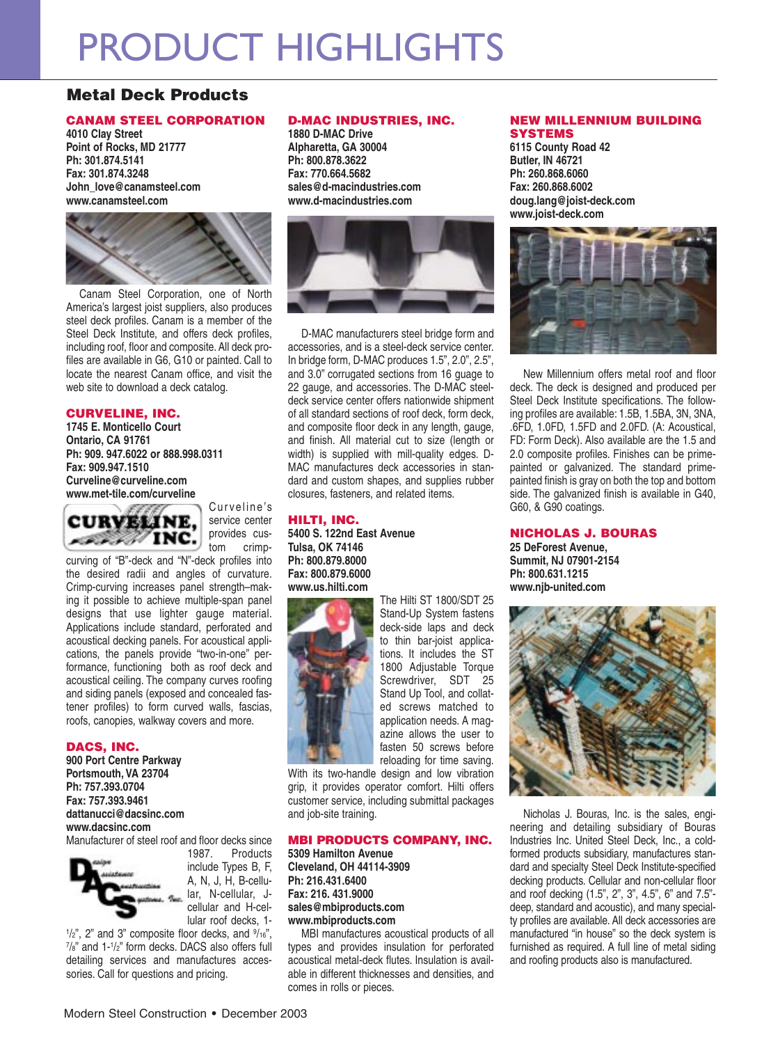# PRODUCT HIGHLIGHTS

### **Metal Deck Products**

#### **CANAM STEEL CORPORATION**

**4010 Clay Street Point of Rocks, MD 21777 Ph: 301.874.5141 Fax: 301.874.3248 John\_love@canamsteel.com www.canamsteel.com**



Canam Steel Corporation, one of North America's largest joist suppliers, also produces steel deck profiles. Canam is a member of the Steel Deck Institute, and offers deck profiles, including roof, floor and composite. All deck profiles are available in G6, G10 or painted. Call to locate the nearest Canam office, and visit the web site to download a deck catalog.

#### **CURVELINE, INC.**

**1745 E. Monticello Court Ontario, CA 91761 Ph: 909. 947.6022 or 888.998.0311 Fax: 909.947.1510 Curveline@curveline.com www.met-tile.com/curveline**



Curveline's service center provides custom crimp-

curving of "B"-deck and "N"-deck profiles into the desired radii and angles of curvature. Crimp-curving increases panel strength–making it possible to achieve multiple-span panel designs that use lighter gauge material. Applications include standard, perforated and acoustical decking panels. For acoustical applications, the panels provide "two-in-one" performance, functioning both as roof deck and acoustical ceiling. The company curves roofing and siding panels (exposed and concealed fastener profiles) to form curved walls, fascias, roofs, canopies, walkway covers and more.

#### **DACS, INC.**

**900 Port Centre Parkway Portsmouth, VA 23704 Ph: 757.393.0704 Fax: 757.393.9461 dattanucci@dacsinc.com www.dacsinc.com**

Manufacturer of steel roof and floor decks since



1987. Products include Types B, F, A, N, J, H, B-cellular, N-cellular, Jcellular and H-cellular roof decks, 1-

 $1/2$ ", 2" and 3" composite floor decks, and  $9/16$ ",  $7/s$ " and 1- $1/2$ " form decks. DACS also offers full detailing services and manufactures accessories. Call for questions and pricing.

#### **D-MAC INDUSTRIES, INC.**

**1880 D-MAC Drive Alpharetta, GA 30004 Ph: 800.878.3622 Fax: 770.664.5682 sales@d-macindustries.com www.d-macindustries.com**



D-MAC manufacturers steel bridge form and accessories, and is a steel-deck service center. In bridge form, D-MAC produces 1.5", 2.0", 2.5", and 3.0" corrugated sections from 16 guage to 22 gauge, and accessories. The D-MAC steeldeck service center offers nationwide shipment of all standard sections of roof deck, form deck, and composite floor deck in any length, gauge, and finish. All material cut to size (length or width) is supplied with mill-quality edges. D-MAC manufactures deck accessories in standard and custom shapes, and supplies rubber closures, fasteners, and related items.

#### **HILTI, INC.**

**5400 S. 122nd East Avenue Tulsa, OK 74146 Ph: 800.879.8000 Fax: 800.879.6000 www.us.hilti.com**



The Hilti ST 1800/SDT 25 Stand-Up System fastens deck-side laps and deck to thin bar-joist applications. It includes the ST 1800 Adjustable Torque Screwdriver, SDT 25 Stand Up Tool, and collated screws matched to application needs. A magazine allows the user to fasten 50 screws before reloading for time saving.

With its two-handle design and low vibration grip, it provides operator comfort. Hilti offers customer service, including submittal packages and job-site training.

#### **MBI PRODUCTS COMPANY, INC.**

**5309 Hamilton Avenue Cleveland, OH 44114-3909 Ph: 216.431.6400 Fax: 216. 431.9000 sales@mbiproducts.com www.mbiproducts.com** 

MBI manufactures acoustical products of all types and provides insulation for perforated acoustical metal-deck flutes. Insulation is available in different thicknesses and densities, and comes in rolls or pieces.

#### **NEW MILLENNIUM BUILDING SYSTEMS**

**6115 County Road 42 Butler, IN 46721 Ph: 260.868.6060 Fax: 260.868.6002 doug.lang@joist-deck.com www.joist-deck.com**



New Millennium offers metal roof and floor deck. The deck is designed and produced per Steel Deck Institute specifications. The following profiles are available: 1.5B, 1.5BA, 3N, 3NA, .6FD, 1.0FD, 1.5FD and 2.0FD. (A: Acoustical, FD: Form Deck). Also available are the 1.5 and 2.0 composite profiles. Finishes can be primepainted or galvanized. The standard primepainted finish is gray on both the top and bottom side. The galvanized finish is available in G40, G60, & G90 coatings.

#### **NICHOLAS J. BOURAS**

**25 DeForest Avenue, Summit, NJ 07901-2154 Ph: 800.631.1215 www.njb-united.com**



Nicholas J. Bouras, Inc. is the sales, engineering and detailing subsidiary of Bouras Industries Inc. United Steel Deck, Inc., a coldformed products subsidiary, manufactures standard and specialty Steel Deck Institute-specified decking products. Cellular and non-cellular floor and roof decking (1.5", 2", 3", 4.5", 6" and 7.5" deep, standard and acoustic), and many specialty profiles are available. All deck accessories are manufactured "in house" so the deck system is furnished as required. A full line of metal siding and roofing products also is manufactured.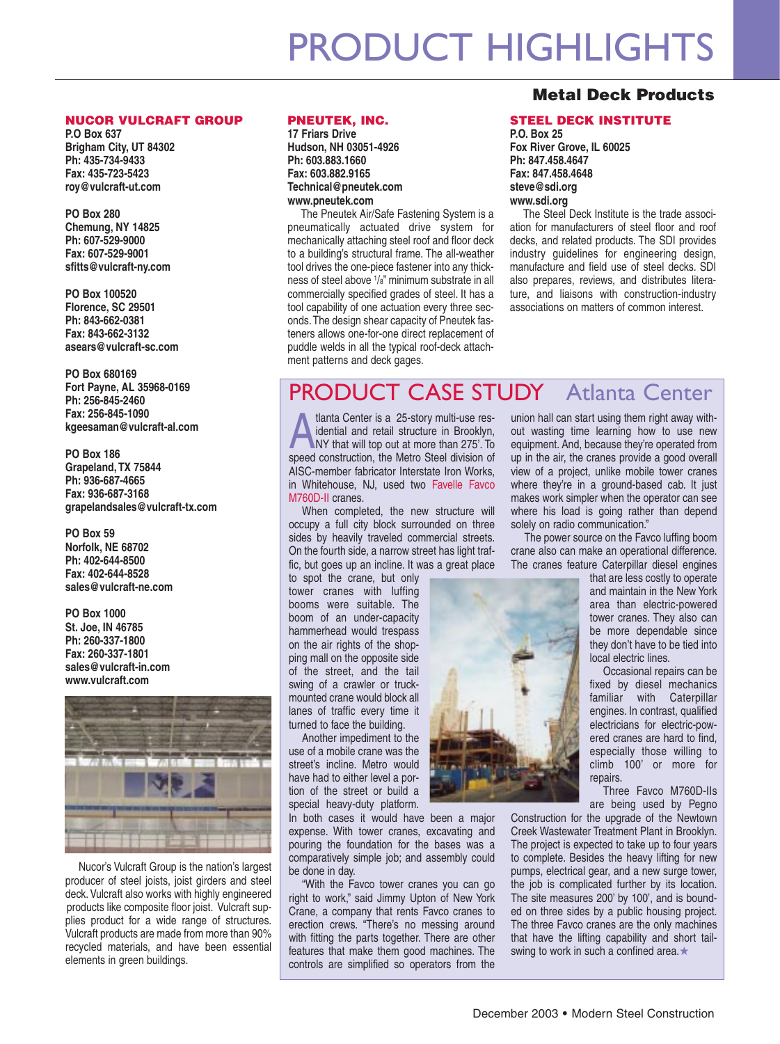## PRODUCT HIGHLIGHTS

#### **NUCOR VULCRAFT GROUP**

**P.O Box 637 Brigham City, UT 84302 Ph: 435-734-9433 Fax: 435-723-5423 roy@vulcraft-ut.com**

**PO Box 280 Chemung, NY 14825 Ph: 607-529-9000 Fax: 607-529-9001 sfitts@vulcraft-ny.com** 

**PO Box 100520 Florence, SC 29501 Ph: 843-662-0381 Fax: 843-662-3132 asears@vulcraft-sc.com**

**PO Box 680169 Fort Payne, AL 35968-0169 Ph: 256-845-2460 Fax: 256-845-1090 kgeesaman@vulcraft-al.com**

**PO Box 186 Grapeland, TX 75844 Ph: 936-687-4665 Fax: 936-687-3168 grapelandsales@vulcraft-tx.com**

**PO Box 59 Norfolk, NE 68702 Ph: 402-644-8500 Fax: 402-644-8528 sales@vulcraft-ne.com**

**PO Box 1000 St. Joe, IN 46785 Ph: 260-337-1800 Fax: 260-337-1801 sales@vulcraft-in.com www.vulcraft.com**



Nucor's Vulcraft Group is the nation's largest producer of steel joists, joist girders and steel deck. Vulcraft also works with highly engineered products like composite floor joist. Vulcraft supplies product for a wide range of structures. Vulcraft products are made from more than 90% recycled materials, and have been essential elements in green buildings.

#### **PNEUTEK, INC.**

**17 Friars Drive Hudson, NH 03051-4926 Ph: 603.883.1660 Fax: 603.882.9165 Technical@pneutek.com www.pneutek.com**

The Pneutek Air/Safe Fastening System is a pneumatically actuated drive system for mechanically attaching steel roof and floor deck to a building's structural frame. The all-weather tool drives the one-piece fastener into any thickness of steel above 1/8" minimum substrate in all commercially specified grades of steel. It has a tool capability of one actuation every three seconds.The design shear capacity of Pneutek fasteners allows one-for-one direct replacement of puddle welds in all the typical roof-deck attachment patterns and deck gages.

#### **Metal Deck Products**

#### **STEEL DECK INSTITUTE**

**P.O. Box 25 Fox River Grove, IL 60025 Ph: 847.458.4647 Fax: 847.458.4648 steve@sdi.org www.sdi.org**

The Steel Deck Institute is the trade association for manufacturers of steel floor and roof decks, and related products. The SDI provides industry guidelines for engineering design, manufacture and field use of steel decks. SDI also prepares, reviews, and distributes literature, and liaisons with construction-industry associations on matters of common interest.

### PRODUCT CASE STUDY Atlanta Center

Manta Center is a 25-story multi-use res-<br>
idential and retail structure in Brooklyn,<br>
NY that will top out at more than 275'. To idential and retail structure in Brooklyn, speed construction, the Metro Steel division of AISC-member fabricator Interstate Iron Works, in Whitehouse, NJ, used two Favelle Favco M760D-II cranes.

When completed, the new structure will occupy a full city block surrounded on three sides by heavily traveled commercial streets. On the fourth side, a narrow street has light traffic, but goes up an incline. It was a great place

to spot the crane, but only tower cranes with luffing booms were suitable. The boom of an under-capacity hammerhead would trespass on the air rights of the shopping mall on the opposite side of the street, and the tail swing of a crawler or truckmounted crane would block all lanes of traffic every time it turned to face the building.

Another impediment to the use of a mobile crane was the street's incline. Metro would have had to either level a portion of the street or build a special heavy-duty platform.

In both cases it would have been a major expense. With tower cranes, excavating and pouring the foundation for the bases was a comparatively simple job; and assembly could be done in day.

"With the Favco tower cranes you can go right to work," said Jimmy Upton of New York Crane, a company that rents Favco cranes to erection crews. "There's no messing around with fitting the parts together. There are other features that make them good machines. The controls are simplified so operators from the

union hall can start using them right away without wasting time learning how to use new equipment. And, because they're operated from up in the air, the cranes provide a good overall view of a project, unlike mobile tower cranes where they're in a ground-based cab. It just makes work simpler when the operator can see where his load is going rather than depend solely on radio communication."

The power source on the Favco luffing boom crane also can make an operational difference. The cranes feature Caterpillar diesel engines

> that are less costly to operate and maintain in the New York area than electric-powered tower cranes. They also can be more dependable since they don't have to be tied into local electric lines.

> Occasional repairs can be fixed by diesel mechanics familiar with Caterpillar engines. In contrast, qualified electricians for electric-powered cranes are hard to find, especially those willing to climb 100' or more for repairs.

> Three Favco M760D-IIs are being used by Pegno

Construction for the upgrade of the Newtown Creek Wastewater Treatment Plant in Brooklyn. The project is expected to take up to four years to complete. Besides the heavy lifting for new pumps, electrical gear, and a new surge tower, the job is complicated further by its location. The site measures 200' by 100', and is bounded on three sides by a public housing project. The three Favco cranes are the only machines that have the lifting capability and short tailswing to work in such a confined area.★